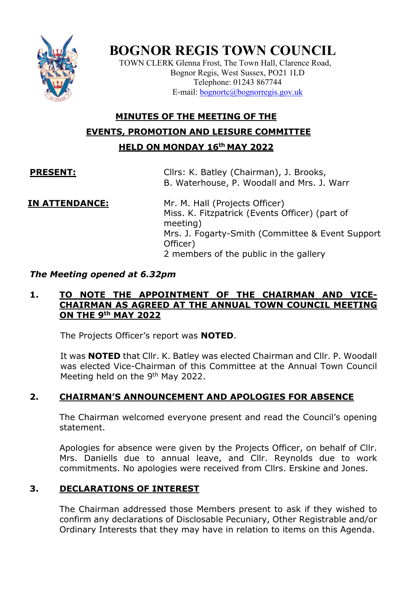

# **BOGNOR REGIS TOWN COUNCIL**

TOWN CLERK Glenna Frost, The Town Hall, Clarence Road, Bognor Regis, West Sussex, PO21 1LD Telephone: 01243 867744 E-mail: [bognortc@bognorregis.gov.uk](mailto:bognortc@bognorregis.gov.uk)

## **MINUTES OF THE MEETING OF THE EVENTS, PROMOTION AND LEISURE COMMITTEE HELD ON MONDAY 16th MAY 2022**

**PRESENT:** Cllrs: K. Batley (Chairman), J. Brooks, B. Waterhouse, P. Woodall and Mrs. J. Warr

**IN ATTENDANCE:** Mr. M. Hall (Projects Officer) Miss. K. Fitzpatrick (Events Officer) (part of meeting) Mrs. J. Fogarty-Smith (Committee & Event Support Officer) 2 members of the public in the gallery

#### *The Meeting opened at 6.32pm*

#### **1. TO NOTE THE APPOINTMENT OF THE CHAIRMAN AND VICE-CHAIRMAN AS AGREED AT THE ANNUAL TOWN COUNCIL MEETING ON THE 9th MAY 2022**

The Projects Officer's report was **NOTED**.

It was **NOTED** that Cllr. K. Batley was elected Chairman and Cllr. P. Woodall was elected Vice-Chairman of this Committee at the Annual Town Council Meeting held on the 9<sup>th</sup> May 2022.

### **2. CHAIRMAN'S ANNOUNCEMENT AND APOLOGIES FOR ABSENCE**

The Chairman welcomed everyone present and read the Council's opening statement.

Apologies for absence were given by the Projects Officer, on behalf of Cllr. Mrs. Daniells due to annual leave, and Cllr. Reynolds due to work commitments. No apologies were received from Cllrs. Erskine and Jones.

### **3. DECLARATIONS OF INTEREST**

The Chairman addressed those Members present to ask if they wished to confirm any declarations of Disclosable Pecuniary, Other Registrable and/or Ordinary Interests that they may have in relation to items on this Agenda.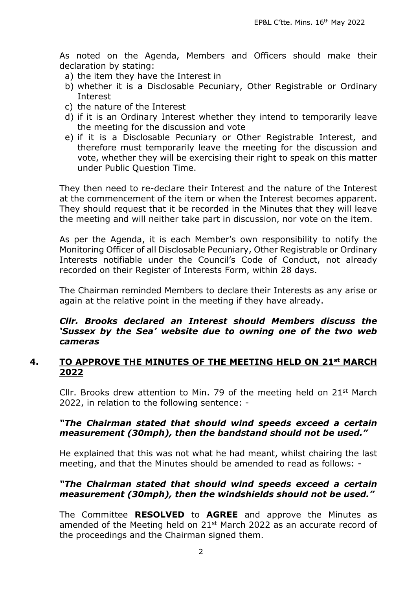As noted on the Agenda, Members and Officers should make their declaration by stating:

- a) the item they have the Interest in
- b) whether it is a Disclosable Pecuniary, Other Registrable or Ordinary Interest
- c) the nature of the Interest
- d) if it is an Ordinary Interest whether they intend to temporarily leave the meeting for the discussion and vote
- e) if it is a Disclosable Pecuniary or Other Registrable Interest, and therefore must temporarily leave the meeting for the discussion and vote, whether they will be exercising their right to speak on this matter under Public Question Time.

They then need to re-declare their Interest and the nature of the Interest at the commencement of the item or when the Interest becomes apparent. They should request that it be recorded in the Minutes that they will leave the meeting and will neither take part in discussion, nor vote on the item.

As per the Agenda, it is each Member's own responsibility to notify the Monitoring Officer of all Disclosable Pecuniary, Other Registrable or Ordinary Interests notifiable under the Council's Code of Conduct, not already recorded on their Register of Interests Form, within 28 days.

The Chairman reminded Members to declare their Interests as any arise or again at the relative point in the meeting if they have already.

#### *Cllr. Brooks declared an Interest should Members discuss the 'Sussex by the Sea' website due to owning one of the two web cameras*

#### **4. TO APPROVE THE MINUTES OF THE MEETING HELD ON 21st MARCH 2022**

Cllr. Brooks drew attention to Min. 79 of the meeting held on  $21^{st}$  March 2022, in relation to the following sentence: -

#### *"The Chairman stated that should wind speeds exceed a certain measurement (30mph), then the bandstand should not be used."*

He explained that this was not what he had meant, whilst chairing the last meeting, and that the Minutes should be amended to read as follows: -

#### *"The Chairman stated that should wind speeds exceed a certain measurement (30mph), then the windshields should not be used."*

The Committee **RESOLVED** to **AGREE** and approve the Minutes as amended of the Meeting held on 21<sup>st</sup> March 2022 as an accurate record of the proceedings and the Chairman signed them.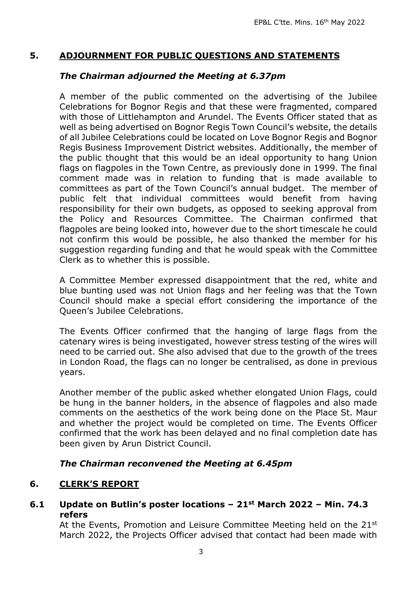#### **5. ADJOURNMENT FOR PUBLIC QUESTIONS AND STATEMENTS**

#### *The Chairman adjourned the Meeting at 6.37pm*

A member of the public commented on the advertising of the Jubilee Celebrations for Bognor Regis and that these were fragmented, compared with those of Littlehampton and Arundel. The Events Officer stated that as well as being advertised on Bognor Regis Town Council's website, the details of all Jubilee Celebrations could be located on Love Bognor Regis and Bognor Regis Business Improvement District websites. Additionally, the member of the public thought that this would be an ideal opportunity to hang Union flags on flagpoles in the Town Centre, as previously done in 1999. The final comment made was in relation to funding that is made available to committees as part of the Town Council's annual budget. The member of public felt that individual committees would benefit from having responsibility for their own budgets, as opposed to seeking approval from the Policy and Resources Committee. The Chairman confirmed that flagpoles are being looked into, however due to the short timescale he could not confirm this would be possible, he also thanked the member for his suggestion regarding funding and that he would speak with the Committee Clerk as to whether this is possible.

A Committee Member expressed disappointment that the red, white and blue bunting used was not Union flags and her feeling was that the Town Council should make a special effort considering the importance of the Queen's Jubilee Celebrations.

The Events Officer confirmed that the hanging of large flags from the catenary wires is being investigated, however stress testing of the wires will need to be carried out. She also advised that due to the growth of the trees in London Road, the flags can no longer be centralised, as done in previous years.

Another member of the public asked whether elongated Union Flags, could be hung in the banner holders, in the absence of flagpoles and also made comments on the aesthetics of the work being done on the Place St. Maur and whether the project would be completed on time. The Events Officer confirmed that the work has been delayed and no final completion date has been given by Arun District Council.

#### *The Chairman reconvened the Meeting at 6.45pm*

### **6. CLERK'S REPORT**

#### **6.1 Update on Butlin's poster locations – 21st March 2022 – Min. 74.3 refers**

At the Events, Promotion and Leisure Committee Meeting held on the 21<sup>st</sup> March 2022, the Projects Officer advised that contact had been made with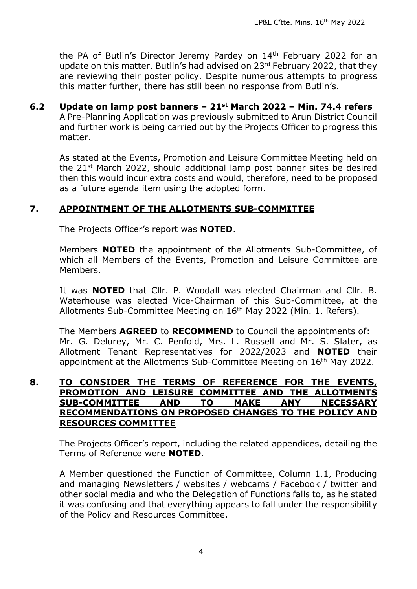the PA of Butlin's Director Jeremy Pardey on 14th February 2022 for an update on this matter. Butlin's had advised on 23rd February 2022, that they are reviewing their poster policy. Despite numerous attempts to progress this matter further, there has still been no response from Butlin's.

**6.2 Update on lamp post banners – 21st March 2022 – Min. 74.4 refers** A Pre-Planning Application was previously submitted to Arun District Council and further work is being carried out by the Projects Officer to progress this matter.

As stated at the Events, Promotion and Leisure Committee Meeting held on the 21st March 2022, should additional lamp post banner sites be desired then this would incur extra costs and would, therefore, need to be proposed as a future agenda item using the adopted form.

### **7. APPOINTMENT OF THE ALLOTMENTS SUB-COMMITTEE**

The Projects Officer's report was **NOTED**.

Members **NOTED** the appointment of the Allotments Sub-Committee, of which all Members of the Events, Promotion and Leisure Committee are Members.

It was **NOTED** that Cllr. P. Woodall was elected Chairman and Cllr. B. Waterhouse was elected Vice-Chairman of this Sub-Committee, at the Allotments Sub-Committee Meeting on 16<sup>th</sup> May 2022 (Min. 1. Refers).

The Members **AGREED** to **RECOMMEND** to Council the appointments of: Mr. G. Delurey, Mr. C. Penfold, Mrs. L. Russell and Mr. S. Slater, as Allotment Tenant Representatives for 2022/2023 and **NOTED** their appointment at the Allotments Sub-Committee Meeting on 16<sup>th</sup> May 2022.

#### **8. TO CONSIDER THE TERMS OF REFERENCE FOR THE EVENTS, PROMOTION AND LEISURE COMMITTEE AND THE ALLOTMENTS SUB-COMMITTEE AND TO MAKE ANY NECESSARY RECOMMENDATIONS ON PROPOSED CHANGES TO THE POLICY AND RESOURCES COMMITTEE**

The Projects Officer's report, including the related appendices, detailing the Terms of Reference were **NOTED**.

A Member questioned the Function of Committee, Column 1.1, Producing and managing Newsletters / websites / webcams / Facebook / twitter and other social media and who the Delegation of Functions falls to, as he stated it was confusing and that everything appears to fall under the responsibility of the Policy and Resources Committee.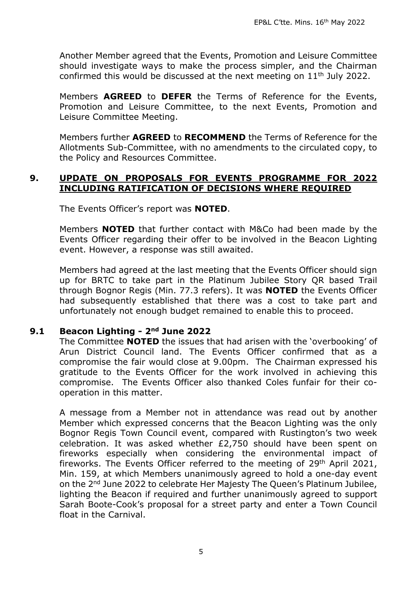Another Member agreed that the Events, Promotion and Leisure Committee should investigate ways to make the process simpler, and the Chairman confirmed this would be discussed at the next meeting on  $11<sup>th</sup>$  July 2022.

Members **AGREED** to **DEFER** the Terms of Reference for the Events, Promotion and Leisure Committee, to the next Events, Promotion and Leisure Committee Meeting.

Members further **AGREED** to **RECOMMEND** the Terms of Reference for the Allotments Sub-Committee, with no amendments to the circulated copy, to the Policy and Resources Committee.

#### **9. UPDATE ON PROPOSALS FOR EVENTS PROGRAMME FOR 2022 INCLUDING RATIFICATION OF DECISIONS WHERE REQUIRED**

The Events Officer's report was **NOTED**.

Members **NOTED** that further contact with M&Co had been made by the Events Officer regarding their offer to be involved in the Beacon Lighting event. However, a response was still awaited.

Members had agreed at the last meeting that the Events Officer should sign up for BRTC to take part in the Platinum Jubilee Story QR based Trail through Bognor Regis (Min. 77.3 refers). It was **NOTED** the Events Officer had subsequently established that there was a cost to take part and unfortunately not enough budget remained to enable this to proceed.

#### **9.1 Beacon Lighting - 2nd June 2022**

The Committee **NOTED** the issues that had arisen with the 'overbooking' of Arun District Council land. The Events Officer confirmed that as a compromise the fair would close at 9.00pm. The Chairman expressed his gratitude to the Events Officer for the work involved in achieving this compromise. The Events Officer also thanked Coles funfair for their cooperation in this matter.

A message from a Member not in attendance was read out by another Member which expressed concerns that the Beacon Lighting was the only Bognor Regis Town Council event, compared with Rustington's two week celebration. It was asked whether £2,750 should have been spent on fireworks especially when considering the environmental impact of fireworks. The Events Officer referred to the meeting of 29th April 2021, Min. 159, at which Members unanimously agreed to hold a one-day event on the 2nd June 2022 to celebrate Her Majesty The Queen's Platinum Jubilee, lighting the Beacon if required and further unanimously agreed to support Sarah Boote-Cook's proposal for a street party and enter a Town Council float in the Carnival.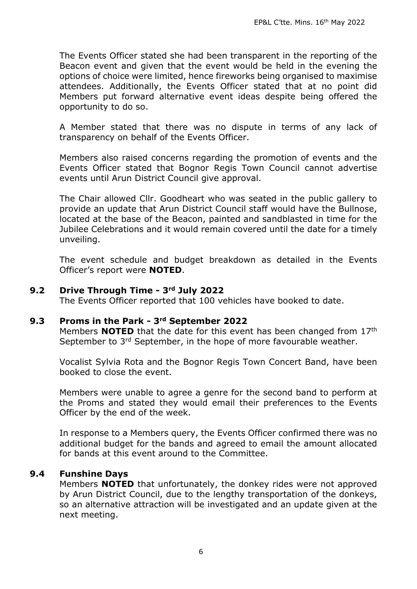The Events Officer stated she had been transparent in the reporting of the Beacon event and given that the event would be held in the evening the options of choice were limited, hence fireworks being organised to maximise attendees. Additionally, the Events Officer stated that at no point did Members put forward alternative event ideas despite being offered the opportunity to do so.

A Member stated that there was no dispute in terms of any lack of transparency on behalf of the Events Officer.

Members also raised concerns regarding the promotion of events and the Events Officer stated that Bognor Regis Town Council cannot advertise events until Arun District Council give approval.

The Chair allowed Cllr. Goodheart who was seated in the public gallery to provide an update that Arun District Council staff would have the Bullnose, located at the base of the Beacon, painted and sandblasted in time for the Jubilee Celebrations and it would remain covered until the date for a timely unveiling.

The event schedule and budget breakdown as detailed in the Events Officer's report were **NOTED**.

#### **9.2 Drive Through Time - 3rd July 2022**

The Events Officer reported that 100 vehicles have booked to date.

#### **9.3 Proms in the Park - 3rd September 2022**

Members **NOTED** that the date for this event has been changed from 17th September to 3<sup>rd</sup> September, in the hope of more favourable weather.

Vocalist Sylvia Rota and the Bognor Regis Town Concert Band, have been booked to close the event.

Members were unable to agree a genre for the second band to perform at the Proms and stated they would email their preferences to the Events Officer by the end of the week.

In response to a Members query, the Events Officer confirmed there was no additional budget for the bands and agreed to email the amount allocated for bands at this event around to the Committee.

#### **9.4 Funshine Days**

Members **NOTED** that unfortunately, the donkey rides were not approved by Arun District Council, due to the lengthy transportation of the donkeys, so an alternative attraction will be investigated and an update given at the next meeting.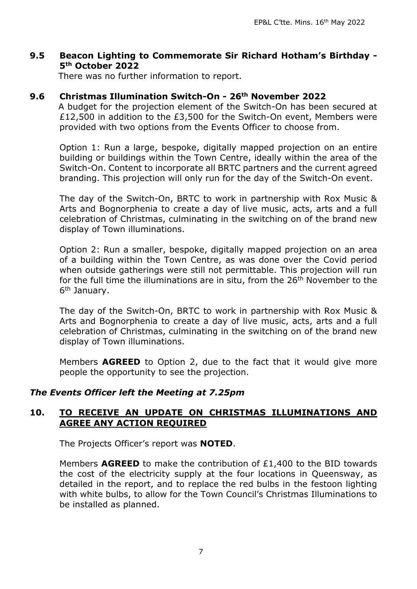#### **9.5 Beacon Lighting to Commemorate Sir Richard Hotham's Birthday - 5th October 2022**

There was no further information to report.

#### **9.6 Christmas Illumination Switch-On - 26th November 2022**

A budget for the projection element of the Switch-On has been secured at £12,500 in addition to the £3,500 for the Switch-On event, Members were provided with two options from the Events Officer to choose from.

Option 1: Run a large, bespoke, digitally mapped projection on an entire building or buildings within the Town Centre, ideally within the area of the Switch-On. Content to incorporate all BRTC partners and the current agreed branding. This projection will only run for the day of the Switch-On event.

The day of the Switch-On, BRTC to work in partnership with Rox Music & Arts and Bognorphenia to create a day of live music, acts, arts and a full celebration of Christmas, culminating in the switching on of the brand new display of Town illuminations.

Option 2: Run a smaller, bespoke, digitally mapped projection on an area of a building within the Town Centre, as was done over the Covid period when outside gatherings were still not permittable. This projection will run for the full time the illuminations are in situ, from the 26<sup>th</sup> November to the 6<sup>th</sup> January.

The day of the Switch-On, BRTC to work in partnership with Rox Music & Arts and Bognorphenia to create a day of live music, acts, arts and a full celebration of Christmas, culminating in the switching on of the brand new display of Town illuminations.

Members **AGREED** to Option 2, due to the fact that it would give more people the opportunity to see the projection.

#### *The Events Officer left the Meeting at 7.25pm*

#### **10. TO RECEIVE AN UPDATE ON CHRISTMAS ILLUMINATIONS AND AGREE ANY ACTION REQUIRED**

The Projects Officer's report was **NOTED**.

Members **AGREED** to make the contribution of £1,400 to the BID towards the cost of the electricity supply at the four locations in Queensway, as detailed in the report, and to replace the red bulbs in the festoon lighting with white bulbs, to allow for the Town Council's Christmas Illuminations to be installed as planned.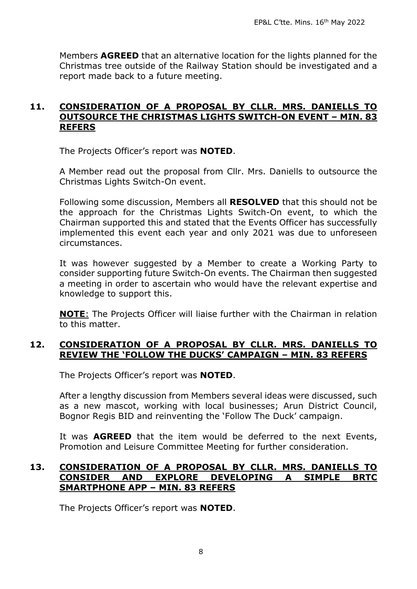Members **AGREED** that an alternative location for the lights planned for the Christmas tree outside of the Railway Station should be investigated and a report made back to a future meeting.

#### **11. CONSIDERATION OF A PROPOSAL BY CLLR. MRS. DANIELLS TO OUTSOURCE THE CHRISTMAS LIGHTS SWITCH-ON EVENT – MIN. 83 REFERS**

The Projects Officer's report was **NOTED**.

A Member read out the proposal from Cllr. Mrs. Daniells to outsource the Christmas Lights Switch-On event.

Following some discussion, Members all **RESOLVED** that this should not be the approach for the Christmas Lights Switch-On event, to which the Chairman supported this and stated that the Events Officer has successfully implemented this event each year and only 2021 was due to unforeseen circumstances.

It was however suggested by a Member to create a Working Party to consider supporting future Switch-On events. The Chairman then suggested a meeting in order to ascertain who would have the relevant expertise and knowledge to support this.

**NOTE**: The Projects Officer will liaise further with the Chairman in relation to this matter.

#### **12. CONSIDERATION OF A PROPOSAL BY CLLR. MRS. DANIELLS TO REVIEW THE 'FOLLOW THE DUCKS' CAMPAIGN – MIN. 83 REFERS**

The Projects Officer's report was **NOTED**.

After a lengthy discussion from Members several ideas were discussed, such as a new mascot, working with local businesses; Arun District Council, Bognor Regis BID and reinventing the 'Follow The Duck' campaign.

It was **AGREED** that the item would be deferred to the next Events, Promotion and Leisure Committee Meeting for further consideration.

#### **13. CONSIDERATION OF A PROPOSAL BY CLLR. MRS. DANIELLS TO CONSIDER AND EXPLORE DEVELOPING A SIMPLE BRTC SMARTPHONE APP – MIN. 83 REFERS**

The Projects Officer's report was **NOTED**.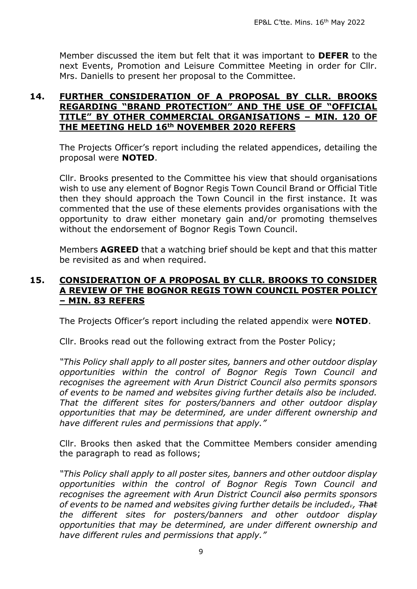Member discussed the item but felt that it was important to **DEFER** to the next Events, Promotion and Leisure Committee Meeting in order for Cllr. Mrs. Daniells to present her proposal to the Committee.

#### **14. FURTHER CONSIDERATION OF A PROPOSAL BY CLLR. BROOKS REGARDING "BRAND PROTECTION" AND THE USE OF "OFFICIAL TITLE" BY OTHER COMMERCIAL ORGANISATIONS – MIN. 120 OF THE MEETING HELD 16th NOVEMBER 2020 REFERS**

The Projects Officer's report including the related appendices, detailing the proposal were **NOTED**.

Cllr. Brooks presented to the Committee his view that should organisations wish to use any element of Bognor Regis Town Council Brand or Official Title then they should approach the Town Council in the first instance. It was commented that the use of these elements provides organisations with the opportunity to draw either monetary gain and/or promoting themselves without the endorsement of Bognor Regis Town Council.

Members **AGREED** that a watching brief should be kept and that this matter be revisited as and when required.

#### **15. CONSIDERATION OF A PROPOSAL BY CLLR. BROOKS TO CONSIDER A REVIEW OF THE BOGNOR REGIS TOWN COUNCIL POSTER POLICY – MIN. 83 REFERS**

The Projects Officer's report including the related appendix were **NOTED**.

Cllr. Brooks read out the following extract from the Poster Policy;

*"This Policy shall apply to all poster sites, banners and other outdoor display opportunities within the control of Bognor Regis Town Council and recognises the agreement with Arun District Council also permits sponsors of events to be named and websites giving further details also be included. That the different sites for posters/banners and other outdoor display opportunities that may be determined, are under different ownership and have different rules and permissions that apply."* 

Cllr. Brooks then asked that the Committee Members consider amending the paragraph to read as follows;

*"This Policy shall apply to all poster sites, banners and other outdoor display opportunities within the control of Bognor Regis Town Council and recognises the agreement with Arun District Council also permits sponsors of events to be named and websites giving further details be included., That the different sites for posters/banners and other outdoor display opportunities that may be determined, are under different ownership and have different rules and permissions that apply."*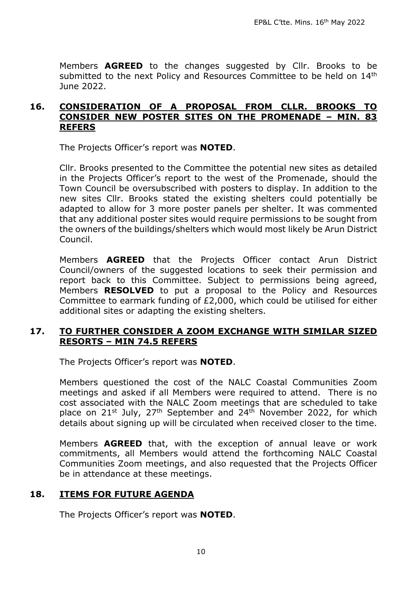Members **AGREED** to the changes suggested by Cllr. Brooks to be submitted to the next Policy and Resources Committee to be held on 14<sup>th</sup> June 2022.

#### **16. CONSIDERATION OF A PROPOSAL FROM CLLR. BROOKS TO CONSIDER NEW POSTER SITES ON THE PROMENADE – MIN. 83 REFERS**

The Projects Officer's report was **NOTED**.

Cllr. Brooks presented to the Committee the potential new sites as detailed in the Projects Officer's report to the west of the Promenade, should the Town Council be oversubscribed with posters to display. In addition to the new sites Cllr. Brooks stated the existing shelters could potentially be adapted to allow for 3 more poster panels per shelter. It was commented that any additional poster sites would require permissions to be sought from the owners of the buildings/shelters which would most likely be Arun District Council.

Members **AGREED** that the Projects Officer contact Arun District Council/owners of the suggested locations to seek their permission and report back to this Committee. Subject to permissions being agreed, Members **RESOLVED** to put a proposal to the Policy and Resources Committee to earmark funding of £2,000, which could be utilised for either additional sites or adapting the existing shelters.

#### **17. TO FURTHER CONSIDER A ZOOM EXCHANGE WITH SIMILAR SIZED RESORTS – MIN 74.5 REFERS**

The Projects Officer's report was **NOTED**.

Members questioned the cost of the NALC Coastal Communities Zoom meetings and asked if all Members were required to attend. There is no cost associated with the NALC Zoom meetings that are scheduled to take place on  $21^{st}$  July,  $27^{th}$  September and  $24^{th}$  November 2022, for which details about signing up will be circulated when received closer to the time.

Members **AGREED** that, with the exception of annual leave or work commitments, all Members would attend the forthcoming NALC Coastal Communities Zoom meetings, and also requested that the Projects Officer be in attendance at these meetings.

#### **18. ITEMS FOR FUTURE AGENDA**

The Projects Officer's report was **NOTED**.